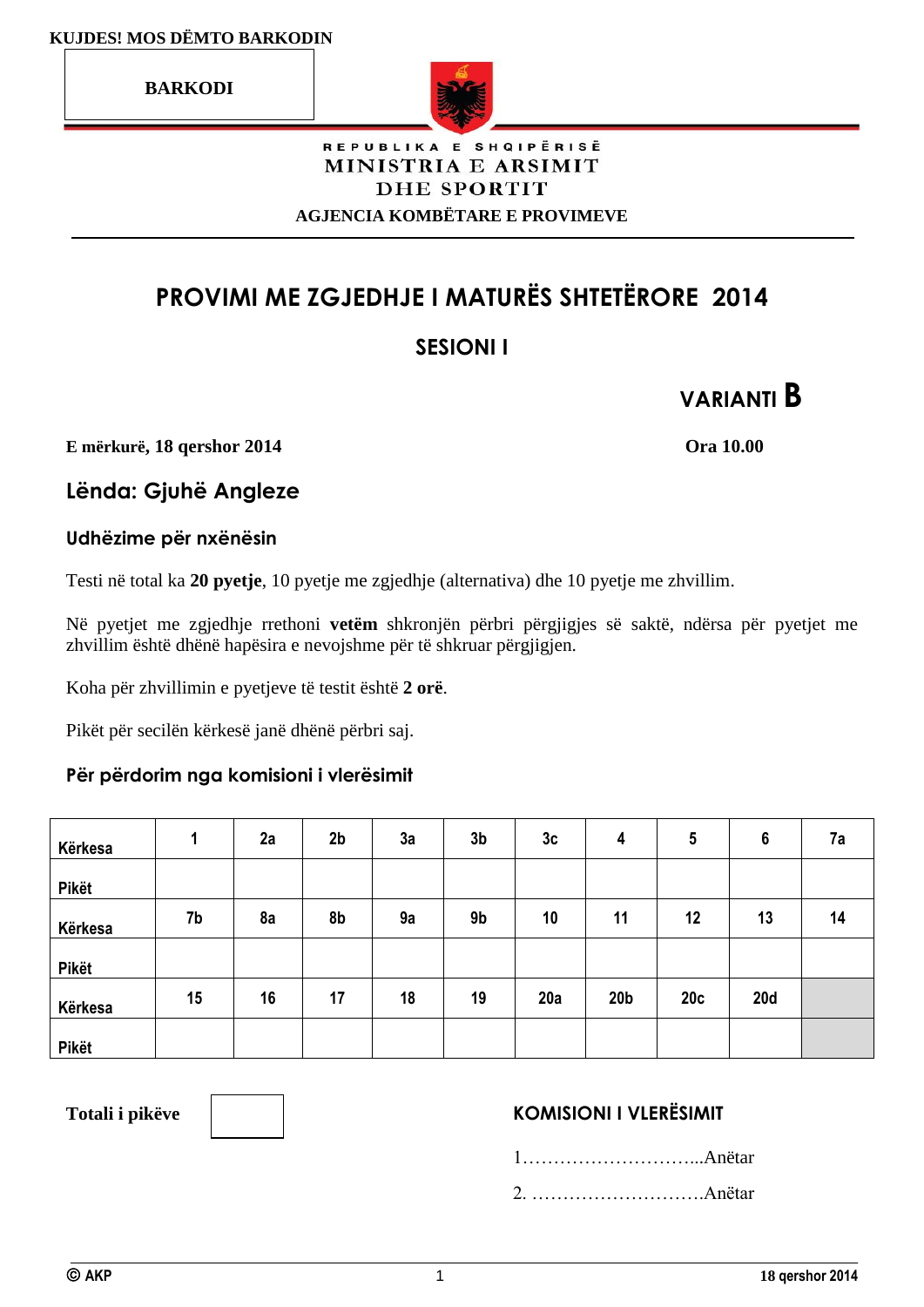**BARKODI**



## REPUBLIKA E SHQIPËRISË MINISTRIA E ARSIMIT **DHE SPORTIT**

**AGJENCIA KOMBËTARE E PROVIMEVE**

# **PROVIMI ME ZGJEDHJE I MATURËS SHTETËRORE 2014**

## **SESIONI I**

**VARIANTI B**

**E mërkurë, 18 qershor 2014 Ora 10.00**

**Lënda: Gjuhë Angleze**

## **Udhëzime për nxënësin**

Testi në total ka **20 pyetje**, 10 pyetje me zgjedhje (alternativa) dhe 10 pyetje me zhvillim.

Në pyetjet me zgjedhje rrethoni **vetëm** shkronjën përbri përgjigjes së saktë, ndërsa për pyetjet me zhvillim është dhënë hapësira e nevojshme për të shkruar përgjigjen.

Koha për zhvillimin e pyetjeve të testit është **2 orë**.

Pikët për secilën kërkesë janë dhënë përbri saj.

## **Për përdorim nga komisioni i vlerësimit**

| Kërkesa | л  | 2a | 2 <sub>b</sub> | 3a | 3 <sub>b</sub> | 3c  | 4               | 5   | $6\phantom{1}6$ | 7a |
|---------|----|----|----------------|----|----------------|-----|-----------------|-----|-----------------|----|
| Pikët   |    |    |                |    |                |     |                 |     |                 |    |
| Kërkesa | 7b | 8a | 8b             | 9a | 9 <sub>b</sub> | 10  | 11              | 12  | 13              | 14 |
| Pikët   |    |    |                |    |                |     |                 |     |                 |    |
| Kërkesa | 15 | 16 | 17             | 18 | 19             | 20a | 20 <sub>b</sub> | 20c | <b>20d</b>      |    |
| Pikët   |    |    |                |    |                |     |                 |     |                 |    |

## Totali i pikëve **KOMISIONI I VLERËSIMIT**

1………………………...Anëtar

2. ……………………….Anëtar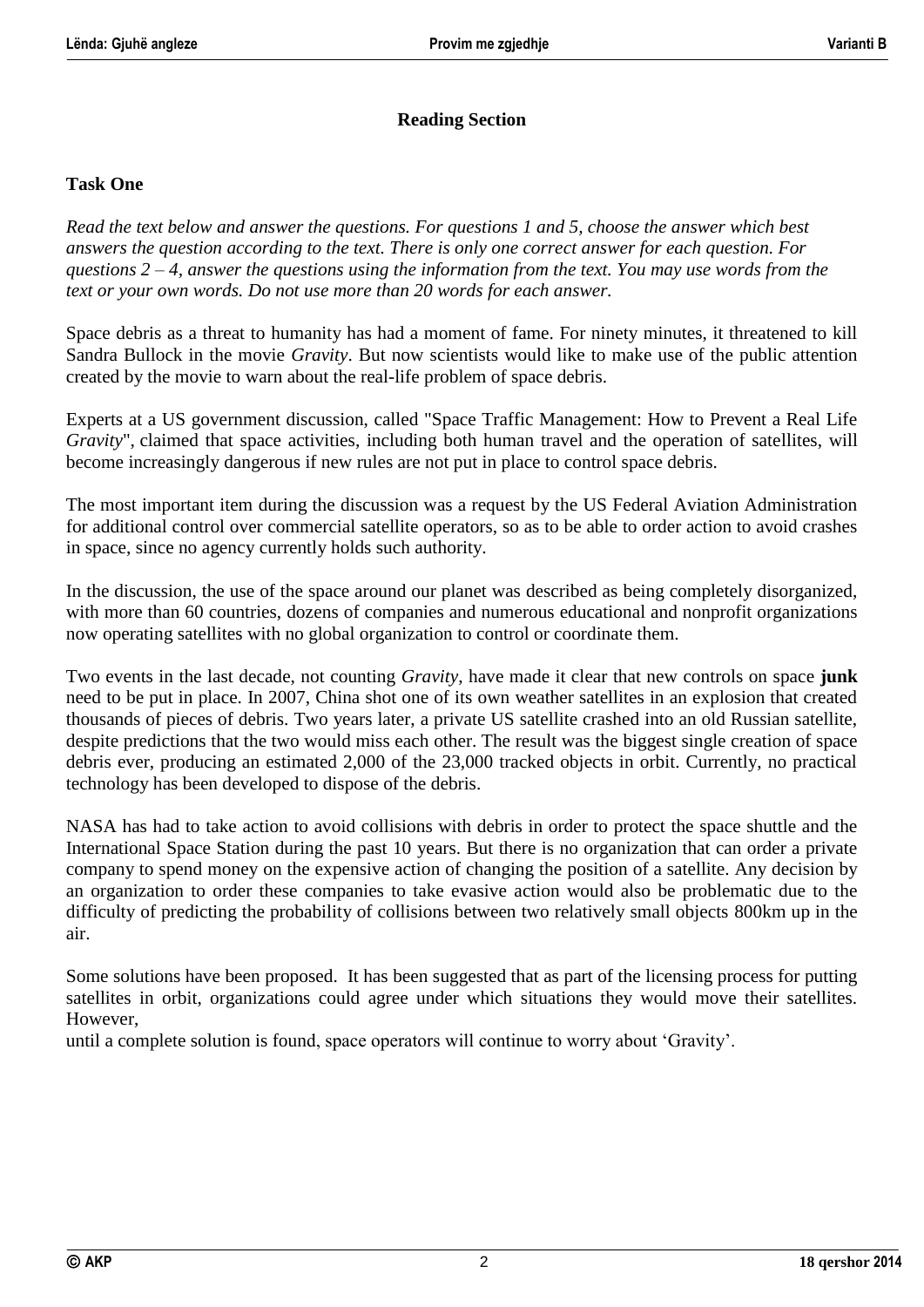## **Reading Section**

#### **Task One**

*Read the text below and answer the questions. For questions 1 and 5, choose the answer which best answers the question according to the text. There is only one correct answer for each question. For questions 2 – 4, answer the questions using the information from the text. You may use words from the text or your own words. Do not use more than 20 words for each answer.*

Space debris as a threat to humanity has had a moment of fame. For ninety minutes, it threatened to kill Sandra Bullock in the movie *Gravity*. But now scientists would like to make use of the public attention created by the movie to warn about the real-life problem of space debris.

Experts at a US government discussion, called "Space Traffic Management: How to Prevent a Real Life *Gravity*", claimed that space activities, including both human travel and the operation of satellites, will become increasingly dangerous if new rules are not put in place to control space debris.

The most important item during the discussion was a request by the US Federal Aviation Administration for additional control over commercial satellite operators, so as to be able to order action to avoid crashes in space, since no agency currently holds such authority.

In the discussion, the use of the space around our planet was described as being completely disorganized, with more than 60 countries, dozens of companies and numerous educational and nonprofit organizations now operating satellites with no global organization to control or coordinate them.

Two events in the last decade, not counting *Gravity*, have made it clear that new controls on space **junk** need to be put in place. In 2007, China shot one of its own weather satellites in an explosion that created thousands of pieces of debris. Two years later, a private US satellite crashed into an old Russian satellite, despite predictions that the two would miss each other. The result was the biggest single creation of space debris ever, producing an estimated 2,000 of the 23,000 tracked objects in orbit. Currently, no practical technology has been developed to dispose of the debris.

NASA has had to take action to avoid collisions with debris in order to protect the space shuttle and the International Space Station during the past 10 years. But there is no organization that can order a private company to spend money on the expensive action of changing the position of a satellite. Any decision by an organization to order these companies to take evasive action would also be problematic due to the difficulty of predicting the probability of collisions between two relatively small objects 800km up in the air.

Some solutions have been proposed. It has been suggested that as part of the licensing process for putting satellites in orbit, organizations could agree under which situations they would move their satellites. However,

until a complete solution is found, space operators will continue to worry about 'Gravity'.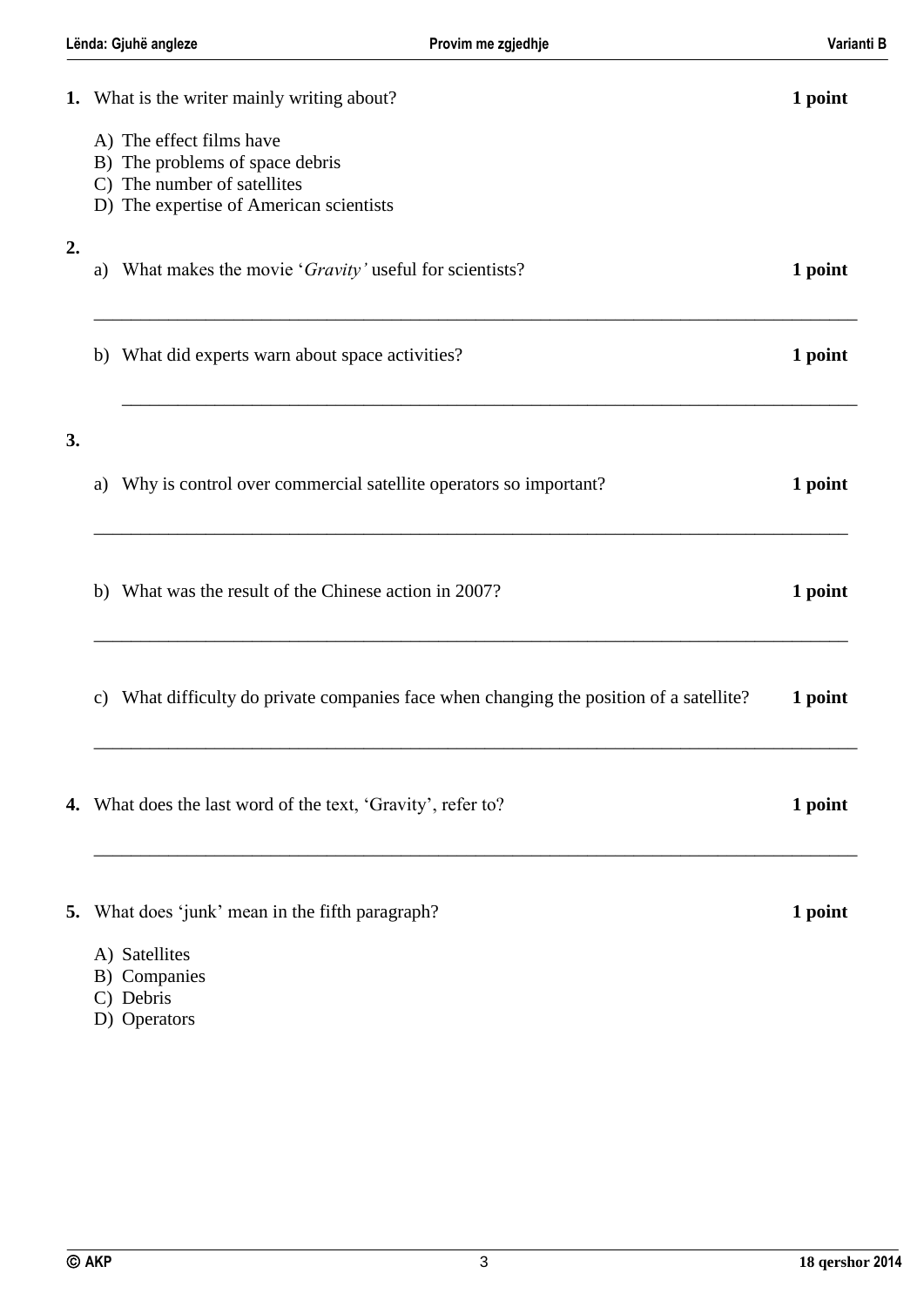| Lënda: Gjuhë angleze<br>Provim me zgjedhje |                                                                                                                                       |                                                                                      | Varianti B |  |
|--------------------------------------------|---------------------------------------------------------------------------------------------------------------------------------------|--------------------------------------------------------------------------------------|------------|--|
|                                            | 1. What is the writer mainly writing about?                                                                                           |                                                                                      | 1 point    |  |
|                                            | A) The effect films have<br>B) The problems of space debris<br>C) The number of satellites<br>D) The expertise of American scientists |                                                                                      |            |  |
| 2.                                         | What makes the movie 'Gravity' useful for scientists?<br>a)                                                                           |                                                                                      | 1 point    |  |
|                                            | b) What did experts warn about space activities?                                                                                      |                                                                                      | 1 point    |  |
| 3.                                         |                                                                                                                                       |                                                                                      |            |  |
|                                            | a)                                                                                                                                    | Why is control over commercial satellite operators so important?                     | 1 point    |  |
|                                            | What was the result of the Chinese action in 2007?<br>b)                                                                              |                                                                                      | 1 point    |  |
|                                            | c)                                                                                                                                    | What difficulty do private companies face when changing the position of a satellite? | 1 point    |  |
|                                            | <b>4.</b> What does the last word of the text, 'Gravity', refer to?                                                                   |                                                                                      | 1 point    |  |
|                                            | 5. What does 'junk' mean in the fifth paragraph?                                                                                      |                                                                                      | 1 point    |  |
|                                            | A) Satellites<br>B) Companies<br>C) Debris                                                                                            |                                                                                      |            |  |

D) Operators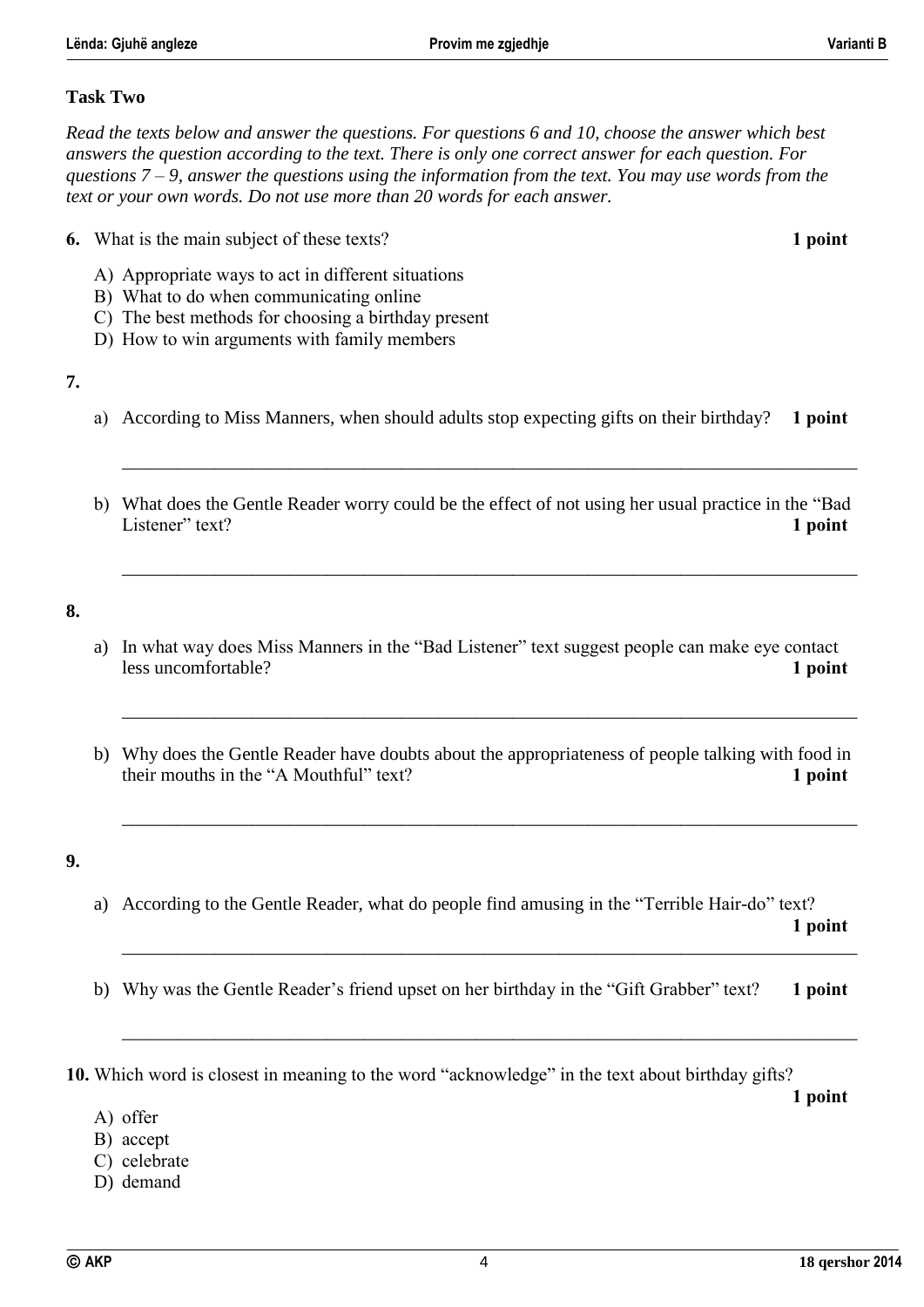#### **Task Two**

*Read the texts below and answer the questions. For questions 6 and 10, choose the answer which best answers the question according to the text. There is only one correct answer for each question. For questions 7 – 9, answer the questions using the information from the text. You may use words from the text or your own words. Do not use more than 20 words for each answer.*

- **6.** What is the main subject of these texts? **1 point**
	- A) Appropriate ways to act in different situations
	- B) What to do when communicating online
	- C) The best methods for choosing a birthday present
	- D) How to win arguments with family members

#### **7.**

a) According to Miss Manners, when should adults stop expecting gifts on their birthday? **1 point**

\_\_\_\_\_\_\_\_\_\_\_\_\_\_\_\_\_\_\_\_\_\_\_\_\_\_\_\_\_\_\_\_\_\_\_\_\_\_\_\_\_\_\_\_\_\_\_\_\_\_\_\_\_\_\_\_\_\_\_\_\_\_\_\_\_\_\_\_\_\_\_\_\_\_\_\_\_\_\_

\_\_\_\_\_\_\_\_\_\_\_\_\_\_\_\_\_\_\_\_\_\_\_\_\_\_\_\_\_\_\_\_\_\_\_\_\_\_\_\_\_\_\_\_\_\_\_\_\_\_\_\_\_\_\_\_\_\_\_\_\_\_\_\_\_\_\_\_\_\_\_\_\_\_\_\_\_\_\_

b) What does the Gentle Reader worry could be the effect of not using her usual practice in the "Bad Listener" text? **1 point**

#### **8.**

- a) In what way does Miss Manners in the "Bad Listener" text suggest people can make eye contact less uncomfortable? **1 point**
- b) Why does the Gentle Reader have doubts about the appropriateness of people talking with food in their mouths in the "A Mouthful" text? **1 point**

\_\_\_\_\_\_\_\_\_\_\_\_\_\_\_\_\_\_\_\_\_\_\_\_\_\_\_\_\_\_\_\_\_\_\_\_\_\_\_\_\_\_\_\_\_\_\_\_\_\_\_\_\_\_\_\_\_\_\_\_\_\_\_\_\_\_\_\_\_\_\_\_\_\_\_\_\_\_\_

\_\_\_\_\_\_\_\_\_\_\_\_\_\_\_\_\_\_\_\_\_\_\_\_\_\_\_\_\_\_\_\_\_\_\_\_\_\_\_\_\_\_\_\_\_\_\_\_\_\_\_\_\_\_\_\_\_\_\_\_\_\_\_\_\_\_\_\_\_\_\_\_\_\_\_\_\_\_\_

#### **9.**

- a) According to the Gentle Reader, what do people find amusing in the "Terrible Hair-do" text? **1 point**
- b) Why was the Gentle Reader's friend upset on her birthday in the "Gift Grabber" text? **1 point**

\_\_\_\_\_\_\_\_\_\_\_\_\_\_\_\_\_\_\_\_\_\_\_\_\_\_\_\_\_\_\_\_\_\_\_\_\_\_\_\_\_\_\_\_\_\_\_\_\_\_\_\_\_\_\_\_\_\_\_\_\_\_\_\_\_\_\_\_\_\_\_\_\_\_\_\_\_\_\_

\_\_\_\_\_\_\_\_\_\_\_\_\_\_\_\_\_\_\_\_\_\_\_\_\_\_\_\_\_\_\_\_\_\_\_\_\_\_\_\_\_\_\_\_\_\_\_\_\_\_\_\_\_\_\_\_\_\_\_\_\_\_\_\_\_\_\_\_\_\_\_\_\_\_\_\_\_\_\_

**10.** Which word is closest in meaning to the word "acknowledge" in the text about birthday gifts?

**1 point**

- A) offer
- B) accept
- C) celebrate
- D) demand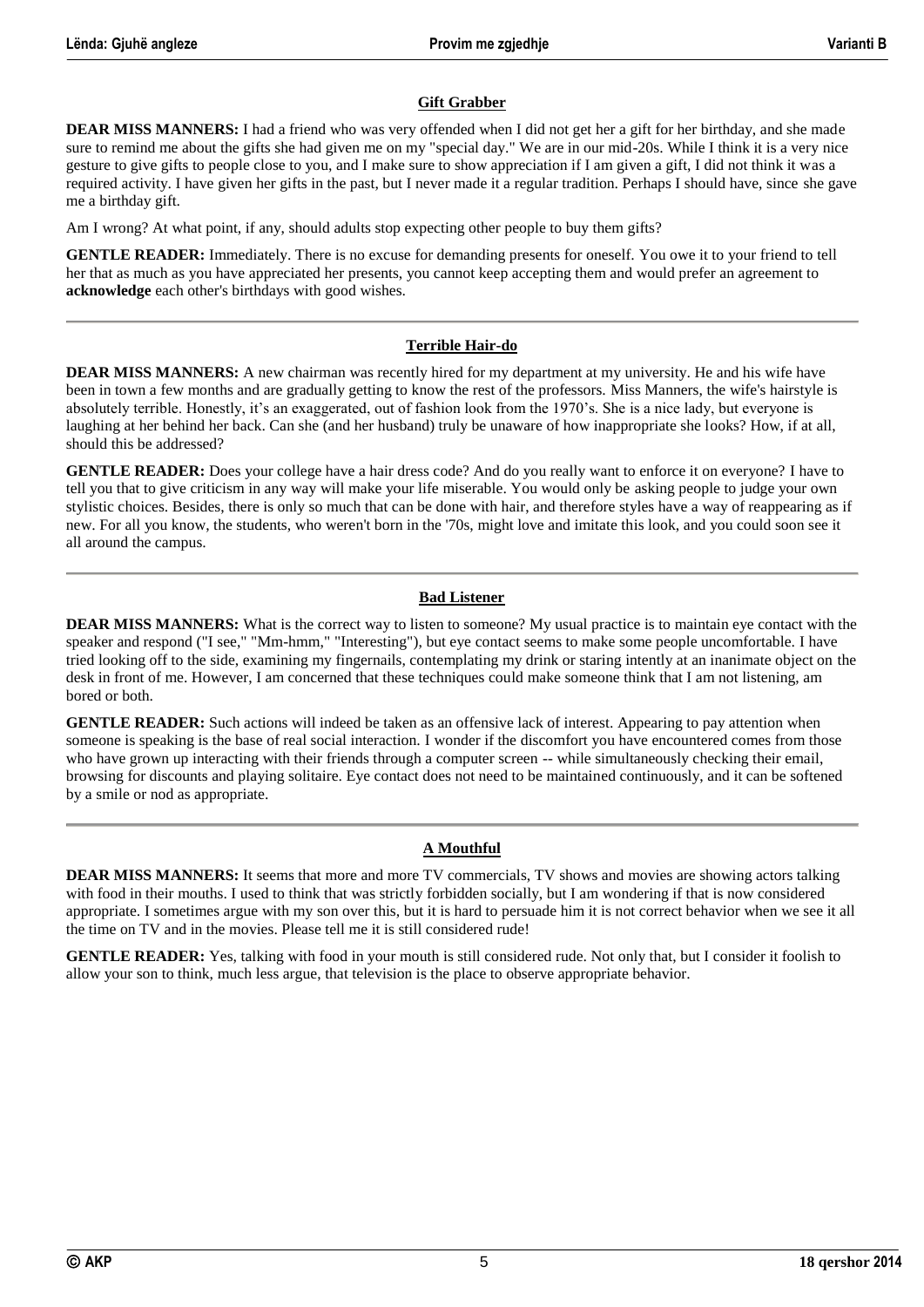#### **Gift Grabber**

**DEAR MISS MANNERS:** I had a friend who was very offended when I did not get her a gift for her birthday, and she made sure to remind me about the gifts she had given me on my "special day." We are in our mid-20s. While I think it is a very nice gesture to give gifts to people close to you, and I make sure to show appreciation if I am given a gift, I did not think it was a required activity. I have given her gifts in the past, but I never made it a regular tradition. Perhaps I should have, since she gave me a birthday gift.

Am I wrong? At what point, if any, should adults stop expecting other people to buy them gifts?

**GENTLE READER:** Immediately. There is no excuse for demanding presents for oneself. You owe it to your friend to tell her that as much as you have appreciated her presents, you cannot keep accepting them and would prefer an agreement to **acknowledge** each other's birthdays with good wishes.

#### **Terrible Hair-do**

**DEAR MISS MANNERS:** A new chairman was recently hired for my department at my university. He and his wife have been in town a few months and are gradually getting to know the rest of the professors. Miss Manners, the wife's hairstyle is absolutely terrible. Honestly, it's an exaggerated, out of fashion look from the 1970's. She is a nice lady, but everyone is laughing at her behind her back. Can she (and her husband) truly be unaware of how inappropriate she looks? How, if at all, should this be addressed?

**GENTLE READER:** Does your college have a hair dress code? And do you really want to enforce it on everyone? I have to tell you that to give criticism in any way will make your life miserable. You would only be asking people to judge your own stylistic choices. Besides, there is only so much that can be done with hair, and therefore styles have a way of reappearing as if new. For all you know, the students, who weren't born in the '70s, might love and imitate this look, and you could soon see it all around the campus.

#### **Bad Listener**

**DEAR MISS MANNERS:** What is the correct way to listen to someone? My usual practice is to maintain eye contact with the speaker and respond ("I see," "Mm-hmm," "Interesting"), but eye contact seems to make some people uncomfortable. I have tried looking off to the side, examining my fingernails, contemplating my drink or staring intently at an inanimate object on the desk in front of me. However, I am concerned that these techniques could make someone think that I am not listening, am bored or both.

**GENTLE READER:** Such actions will indeed be taken as an offensive lack of interest. Appearing to pay attention when someone is speaking is the base of real social interaction. I wonder if the discomfort you have encountered comes from those who have grown up interacting with their friends through a computer screen -- while simultaneously checking their email, browsing for discounts and playing solitaire. Eye contact does not need to be maintained continuously, and it can be softened by a smile or nod as appropriate.

#### **A Mouthful**

**DEAR MISS MANNERS:** It seems that more and more TV commercials, TV shows and movies are showing actors talking with food in their mouths. I used to think that was strictly forbidden socially, but I am wondering if that is now considered appropriate. I sometimes argue with my son over this, but it is hard to persuade him it is not correct behavior when we see it all the time on TV and in the movies. Please tell me it is still considered rude!

**GENTLE READER:** Yes, talking with food in your mouth is still considered rude. Not only that, but I consider it foolish to allow your son to think, much less argue, that television is the place to observe appropriate behavior.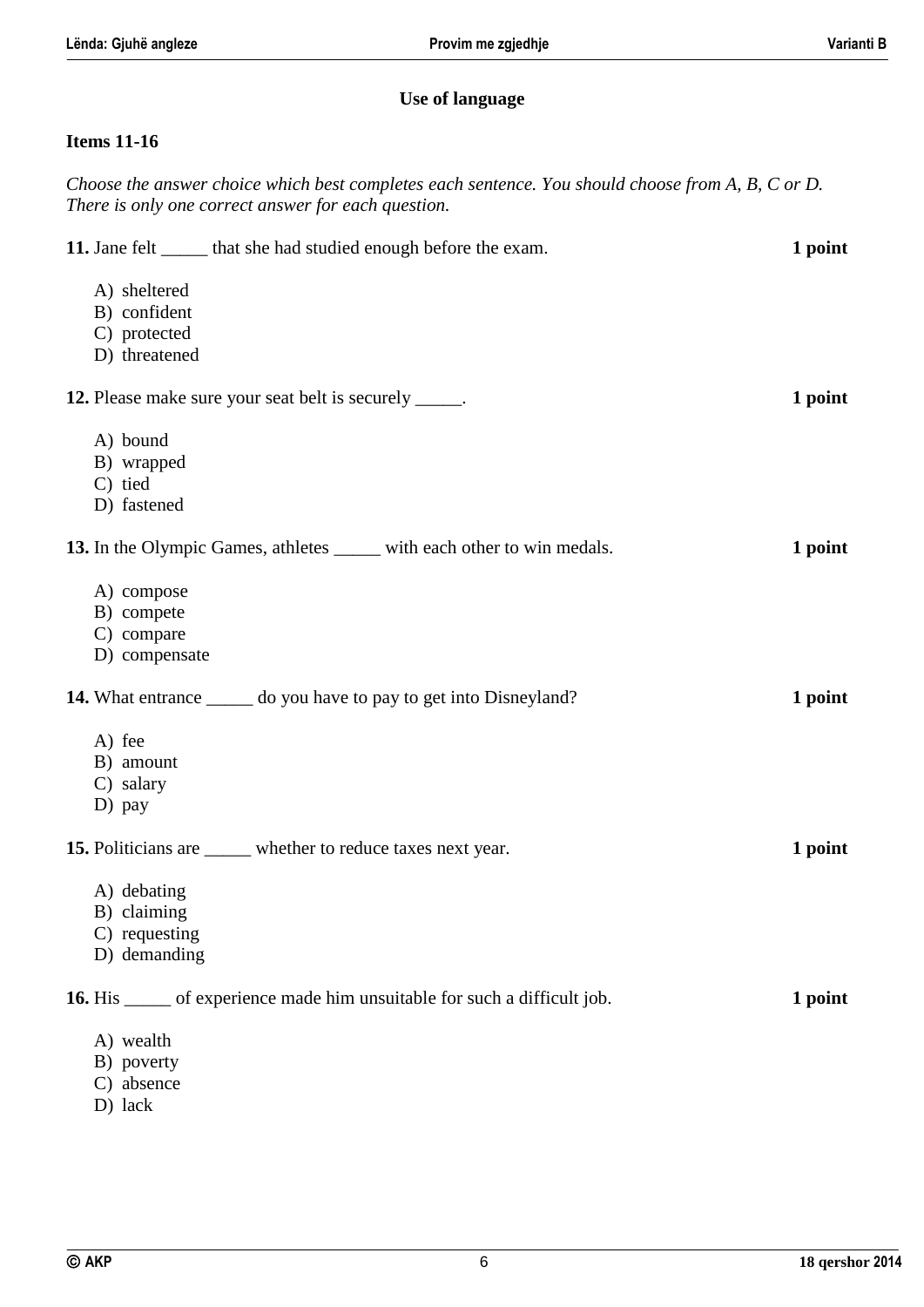## **Use of language**

## **Items 11-16**

| Choose the answer choice which best completes each sentence. You should choose from A, B, C or D.<br>There is only one correct answer for each question. |         |
|----------------------------------------------------------------------------------------------------------------------------------------------------------|---------|
| 11. Jane felt ______ that she had studied enough before the exam.                                                                                        | 1 point |
| A) sheltered                                                                                                                                             |         |
| B) confident                                                                                                                                             |         |
| C) protected                                                                                                                                             |         |
| D) threatened                                                                                                                                            |         |
| 12. Please make sure your seat belt is securely _____.                                                                                                   | 1 point |
| A) bound                                                                                                                                                 |         |
| B) wrapped                                                                                                                                               |         |
| C) tied                                                                                                                                                  |         |
| D) fastened                                                                                                                                              |         |
| 13. In the Olympic Games, athletes _____ with each other to win medals.                                                                                  | 1 point |
| A) compose                                                                                                                                               |         |
| B) compete                                                                                                                                               |         |
| C) compare                                                                                                                                               |         |
| D) compensate                                                                                                                                            |         |
| 14. What entrance ______ do you have to pay to get into Disneyland?                                                                                      | 1 point |
| A) fee                                                                                                                                                   |         |
| B) amount                                                                                                                                                |         |
| C) salary                                                                                                                                                |         |
| D) pay                                                                                                                                                   |         |
| 15. Politicians are _____ whether to reduce taxes next year.                                                                                             | 1 point |
| A) debating                                                                                                                                              |         |
| B) claiming                                                                                                                                              |         |
| C) requesting                                                                                                                                            |         |
| D) demanding                                                                                                                                             |         |
| <b>16.</b> His ______ of experience made him unsuitable for such a difficult job.                                                                        | 1 point |
| A) wealth                                                                                                                                                |         |
| B) poverty                                                                                                                                               |         |
| C) absence                                                                                                                                               |         |
| D) lack                                                                                                                                                  |         |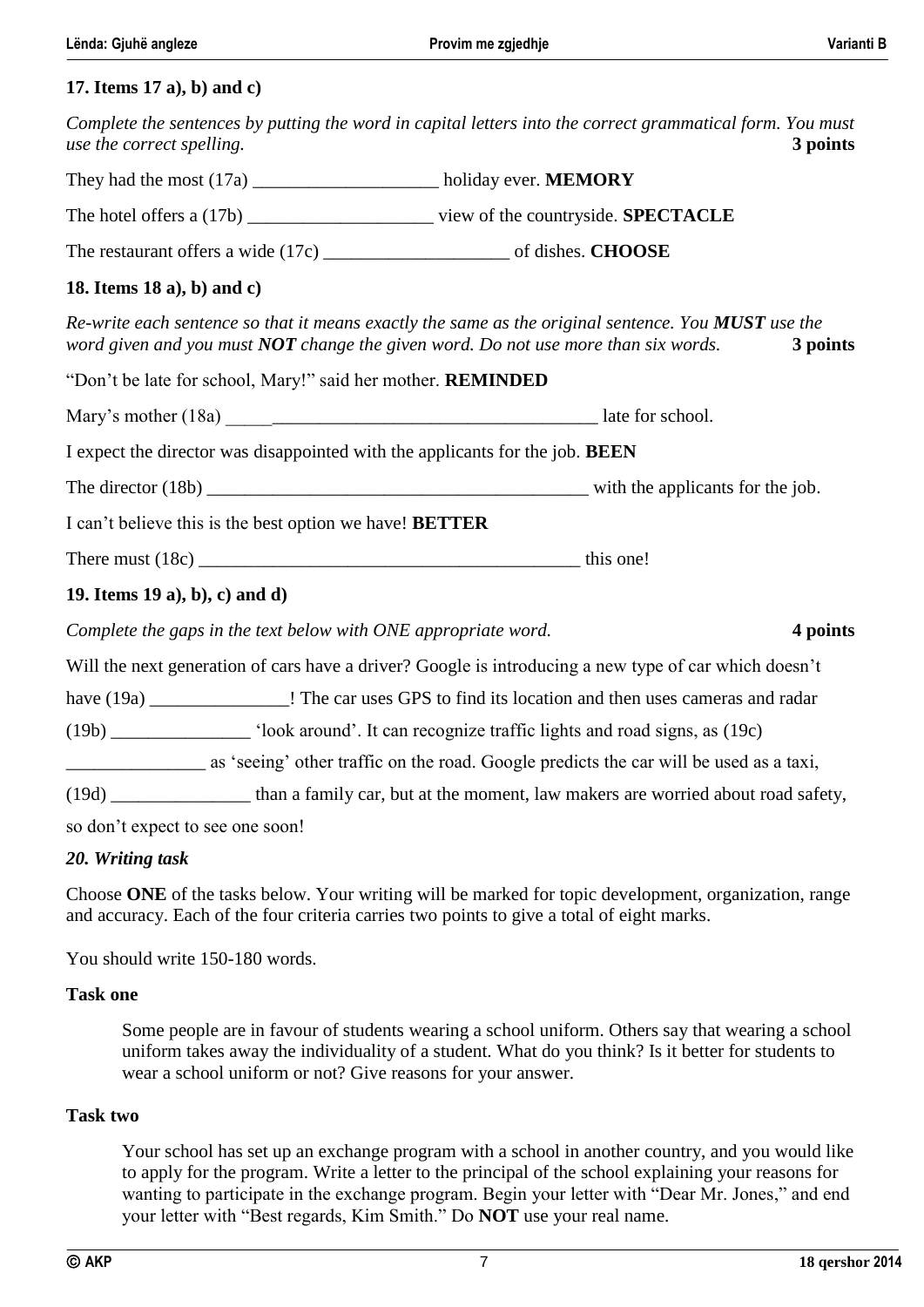#### **17. Items 17 a), b) and c)**

| Complete the sentences by putting the word in capital letters into the correct grammatical form. You must<br>use the correct spelling.                                                      |                                                                                             |  | 3 points |  |
|---------------------------------------------------------------------------------------------------------------------------------------------------------------------------------------------|---------------------------------------------------------------------------------------------|--|----------|--|
| They had the most (17a) _____________________ holiday ever. MEMORY                                                                                                                          |                                                                                             |  |          |  |
|                                                                                                                                                                                             |                                                                                             |  |          |  |
|                                                                                                                                                                                             |                                                                                             |  |          |  |
| 18. Items $18$ a), b) and c)                                                                                                                                                                |                                                                                             |  |          |  |
| Re-write each sentence so that it means exactly the same as the original sentence. You MUST use the<br>word given and you must $NOT$ change the given word. Do not use more than six words. |                                                                                             |  | 3 points |  |
| "Don't be late for school, Mary!" said her mother. REMINDED                                                                                                                                 |                                                                                             |  |          |  |
|                                                                                                                                                                                             |                                                                                             |  |          |  |
| I expect the director was disappointed with the applicants for the job. BEEN                                                                                                                |                                                                                             |  |          |  |
|                                                                                                                                                                                             |                                                                                             |  |          |  |
| I can't believe this is the best option we have! <b>BETTER</b>                                                                                                                              |                                                                                             |  |          |  |
|                                                                                                                                                                                             |                                                                                             |  |          |  |
| 19. Items 19 a), b), c) and d)                                                                                                                                                              |                                                                                             |  |          |  |
| Complete the gaps in the text below with ONE appropriate word.                                                                                                                              |                                                                                             |  | 4 points |  |
| Will the next generation of cars have a driver? Google is introducing a new type of car which doesn't                                                                                       |                                                                                             |  |          |  |
| have (19a) ____________________! The car uses GPS to find its location and then uses cameras and radar                                                                                      |                                                                                             |  |          |  |
|                                                                                                                                                                                             | (19b) _____________ 'look around'. It can recognize traffic lights and road signs, as (19c) |  |          |  |
| as 'seeing' other traffic on the road. Google predicts the car will be used as a taxi,                                                                                                      |                                                                                             |  |          |  |

(19d) \_\_\_\_\_\_\_\_\_\_\_\_\_\_\_ than a family car, but at the moment, law makers are worried about road safety,

so don't expect to see one soon!

#### *20. Writing task*

Choose **ONE** of the tasks below. Your writing will be marked for topic development, organization, range and accuracy. Each of the four criteria carries two points to give a total of eight marks.

You should write 150-180 words.

#### **Task one**

Some people are in favour of students wearing a school uniform. Others say that wearing a school uniform takes away the individuality of a student. What do you think? Is it better for students to wear a school uniform or not? Give reasons for your answer.

#### **Task two**

Your school has set up an exchange program with a school in another country, and you would like to apply for the program. Write a letter to the principal of the school explaining your reasons for wanting to participate in the exchange program. Begin your letter with "Dear Mr. Jones," and end your letter with "Best regards, Kim Smith." Do **NOT** use your real name.